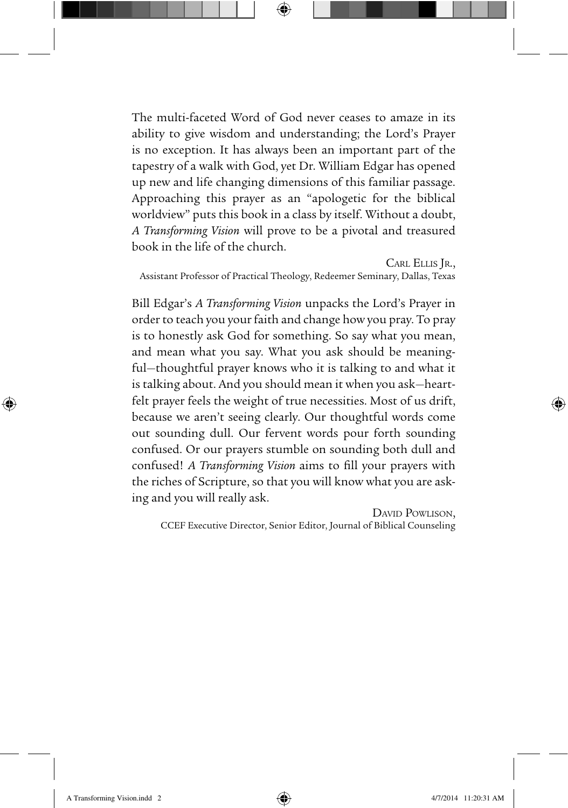The multi-faceted Word of God never ceases to amaze in its ability to give wisdom and understanding; the Lord's Prayer is no exception. It has always been an important part of the tapestry of a walk with God, yet Dr. William Edgar has opened up new and life changing dimensions of this familiar passage. Approaching this prayer as an "apologetic for the biblical worldview" puts this book in a class by itself. Without a doubt, *A Transforming Vision* will prove to be a pivotal and treasured book in the life of the church.

CARL ELLIS JR., Assistant Professor of Practical Theology, Redeemer Seminary, Dallas, Texas

Bill Edgar's *A Transforming Vision* unpacks the Lord's Prayer in order to teach you your faith and change how you pray. To pray is to honestly ask God for something. So say what you mean, and mean what you say. What you ask should be meaningful—thoughtful prayer knows who it is talking to and what it is talking about. And you should mean it when you ask—heartfelt prayer feels the weight of true necessities. Most of us drift, because we aren't seeing clearly. Our thoughtful words come out sounding dull. Our fervent words pour forth sounding confused. Or our prayers stumble on sounding both dull and confused! *A Transforming Vision* aims to fill your prayers with the riches of Scripture, so that you will know what you are asking and you will really ask.

DAVID POWLISON, CCEF Executive Director, Senior Editor, Journal of Biblical Counseling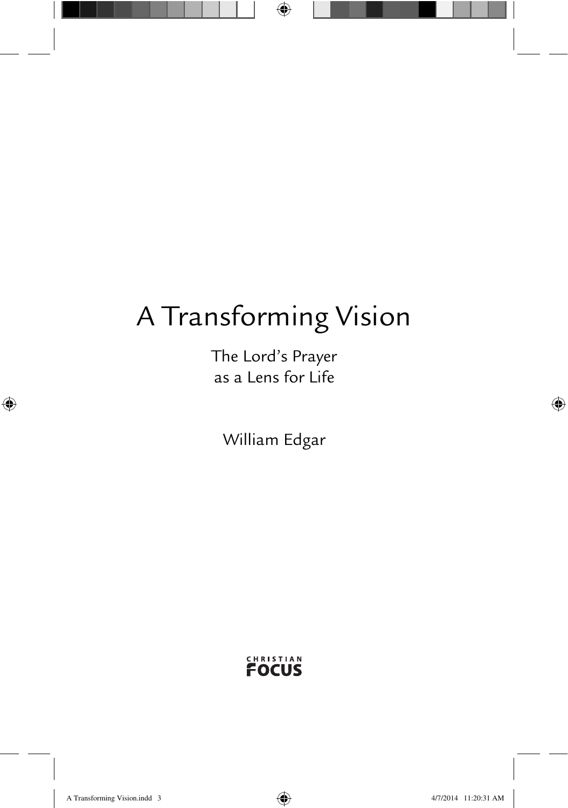# A Transforming Vision

 $\bigoplus$ 

The Lord's Prayer as a Lens for Life

William Edgar

# CHRISTIAN FOCUS

 $\bigoplus$ 

 $\bigoplus$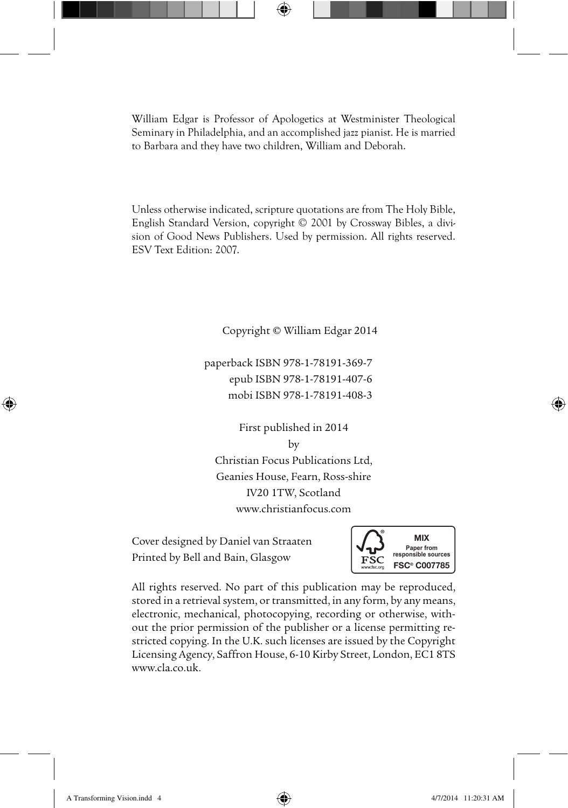William Edgar is Professor of Apologetics at Westminister Theological Seminary in Philadelphia, and an accomplished jazz pianist. He is married to Barbara and they have two children, William and Deborah.

⊕

Unless otherwise indicated, scripture quotations are from The Holy Bible, English Standard Version, copyright © 2001 by Crossway Bibles, a division of Good News Publishers. Used by permission. All rights reserved. ESV Text Edition: 2007.

Copyright © William Edgar 2014

 paperback ISBN 978-1-78191-369-7 epub ISBN 978-1-78191-407-6 mobi ISBN 978-1-78191-408-3

First published in 2014 by Christian Focus Publications Ltd, Geanies House, Fearn, Ross-shire IV20 1TW, Scotland www.christianfocus.com

Cover designed by Daniel van Straaten Printed by Bell and Bain, Glasgow



All rights reserved. No part of this publication may be reproduced, stored in a retrieval system, or transmitted, in any form, by any means, electronic, mechanical, photocopying, recording or otherwise, without the prior permission of the publisher or a license permitting restricted copying. In the U.K. such licenses are issued by the Copyright Licensing Agency, Saffron House, 6-10 Kirby Street, London, EC1 8TS www.cla.co.uk.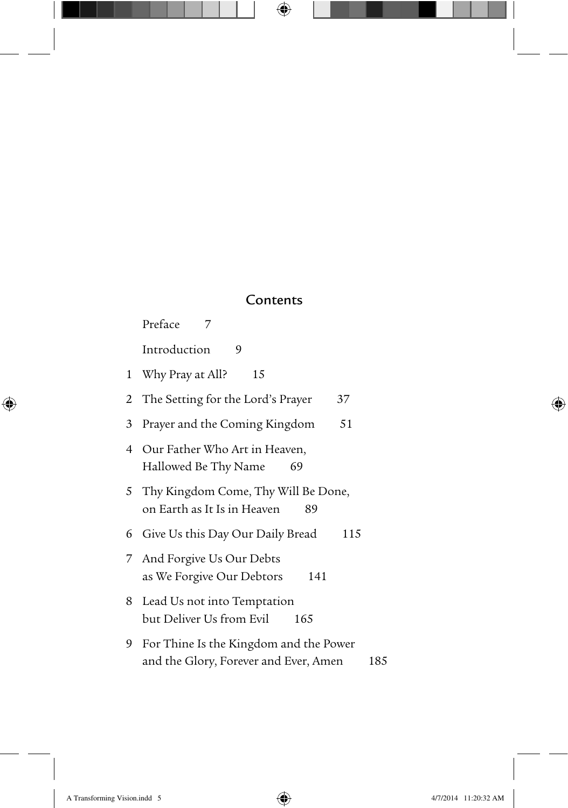# **Contents**

 $\bigoplus$ 

|   | Preface                                                                         |     |
|---|---------------------------------------------------------------------------------|-----|
|   | Introduction<br>9                                                               |     |
|   | 1 Why Pray at All?<br>15                                                        |     |
|   | 2 The Setting for the Lord's Prayer<br>37                                       |     |
| 3 | Prayer and the Coming Kingdom<br>51                                             |     |
| 4 | Our Father Who Art in Heaven,<br>Hallowed Be Thy Name<br>69                     |     |
|   | 5 Thy Kingdom Come, Thy Will Be Done,<br>on Earth as It Is in Heaven<br>89      |     |
|   | 6 Give Us this Day Our Daily Bread<br>115                                       |     |
|   | 7 And Forgive Us Our Debts<br>as We Forgive Our Debtors<br>141                  |     |
| 8 | Lead Us not into Temptation<br>but Deliver Us from Evil<br>165                  |     |
| 9 | For Thine Is the Kingdom and the Power<br>and the Glory, Forever and Ever, Amen | 185 |

 $\bigoplus$ 

 $\bigoplus$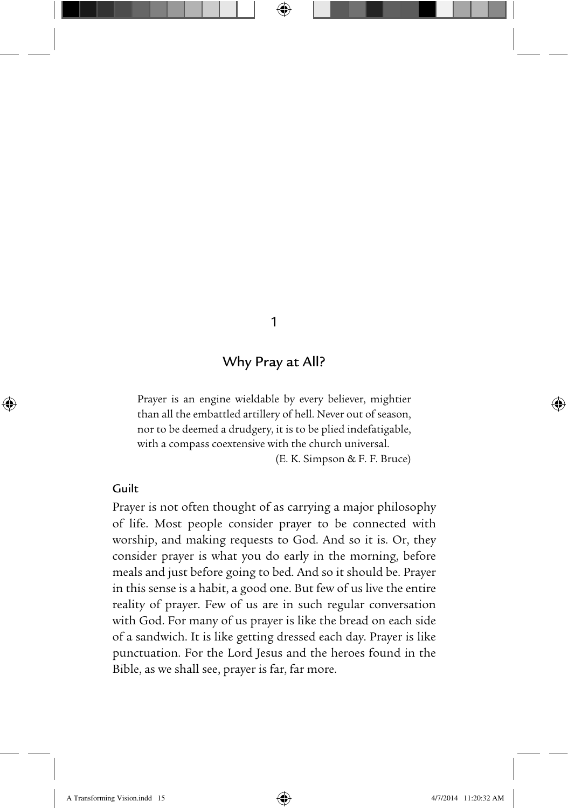# 1

⊕

# Why Pray at All?

Prayer is an engine wieldable by every believer, mightier than all the embattled artillery of hell. Never out of season, nor to be deemed a drudgery, it is to be plied indefatigable, with a compass coextensive with the church universal. (E. K. Simpson & F. F. Bruce)

# Guilt

⊕

Prayer is not often thought of as carrying a major philosophy of life. Most people consider prayer to be connected with worship, and making requests to God. And so it is. Or, they consider prayer is what you do early in the morning, before meals and just before going to bed. And so it should be. Prayer in this sense is a habit, a good one. But few of us live the entire reality of prayer. Few of us are in such regular conversation with God. For many of us prayer is like the bread on each side of a sandwich. It is like getting dressed each day. Prayer is like punctuation. For the Lord Jesus and the heroes found in the Bible, as we shall see, prayer is far, far more.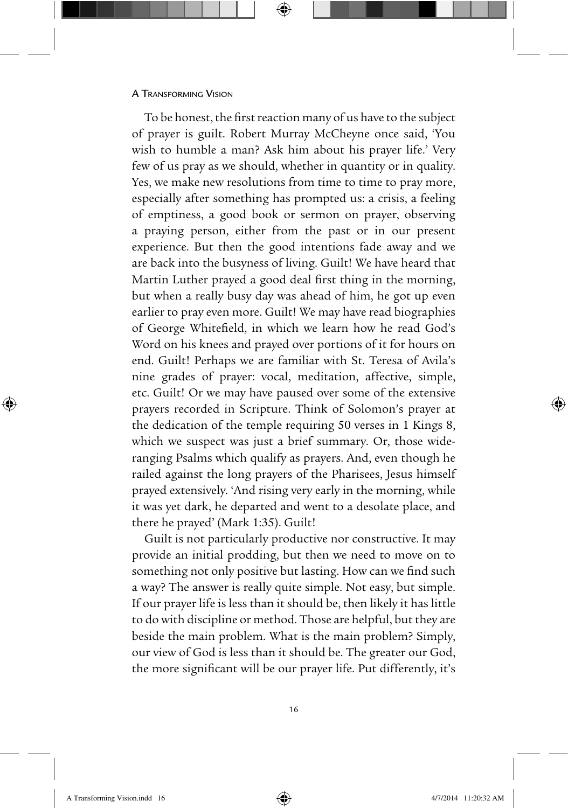To be honest, the first reaction many of us have to the subject of prayer is guilt. Robert Murray McCheyne once said, 'You wish to humble a man? Ask him about his prayer life.' Very few of us pray as we should, whether in quantity or in quality. Yes, we make new resolutions from time to time to pray more, especially after something has prompted us: a crisis, a feeling of emptiness, a good book or sermon on prayer, observing a praying person, either from the past or in our present experience. But then the good intentions fade away and we are back into the busyness of living. Guilt! We have heard that Martin Luther prayed a good deal first thing in the morning, but when a really busy day was ahead of him, he got up even earlier to pray even more. Guilt! We may have read biographies of George Whitefield, in which we learn how he read God's Word on his knees and prayed over portions of it for hours on end. Guilt! Perhaps we are familiar with St. Teresa of Avila's nine grades of prayer: vocal, meditation, affective, simple, etc. Guilt! Or we may have paused over some of the extensive prayers recorded in Scripture. Think of Solomon's prayer at the dedication of the temple requiring 50 verses in 1 Kings 8, which we suspect was just a brief summary. Or, those wideranging Psalms which qualify as prayers. And, even though he railed against the long prayers of the Pharisees, Jesus himself prayed extensively. 'And rising very early in the morning, while it was yet dark, he departed and went to a desolate place, and there he prayed' (Mark 1:35). Guilt!

Guilt is not particularly productive nor constructive. It may provide an initial prodding, but then we need to move on to something not only positive but lasting. How can we find such a way? The answer is really quite simple. Not easy, but simple. If our prayer life is less than it should be, then likely it has little to do with discipline or method. Those are helpful, but they are beside the main problem. What is the main problem? Simply, our view of God is less than it should be. The greater our God, the more significant will be our prayer life. Put differently, it's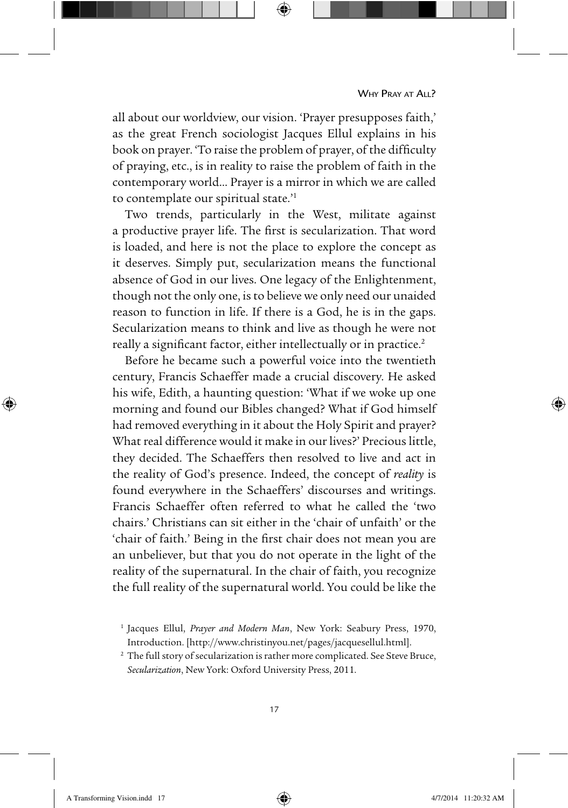all about our worldview, our vision. 'Prayer presupposes faith,' as the great French sociologist Jacques Ellul explains in his book on prayer. 'To raise the problem of prayer, of the difficulty of praying, etc., is in reality to raise the problem of faith in the contemporary world… Prayer is a mirror in which we are called to contemplate our spiritual state.'1

Two trends, particularly in the West, militate against a productive prayer life. The first is secularization. That word is loaded, and here is not the place to explore the concept as it deserves. Simply put, secularization means the functional absence of God in our lives. One legacy of the Enlightenment, though not the only one, is to believe we only need our unaided reason to function in life. If there is a God, he is in the gaps. Secularization means to think and live as though he were not really a significant factor, either intellectually or in practice.<sup>2</sup>

Before he became such a powerful voice into the twentieth century, Francis Schaeffer made a crucial discovery. He asked his wife, Edith, a haunting question: 'What if we woke up one morning and found our Bibles changed? What if God himself had removed everything in it about the Holy Spirit and prayer? What real difference would it make in our lives?' Precious little, they decided. The Schaeffers then resolved to live and act in the reality of God's presence. Indeed, the concept of *reality* is found everywhere in the Schaeffers' discourses and writings. Francis Schaeffer often referred to what he called the 'two chairs.' Christians can sit either in the 'chair of unfaith' or the 'chair of faith.' Being in the first chair does not mean you are an unbeliever, but that you do not operate in the light of the reality of the supernatural. In the chair of faith, you recognize the full reality of the supernatural world. You could be like the

<sup>&</sup>lt;sup>1</sup> Jacques Ellul, *Prayer and Modern Man*, New York: Seabury Press, 1970, Introduction. [http://www.christinyou.net/pages/jacquesellul.html].

<sup>&</sup>lt;sup>2</sup> The full story of secularization is rather more complicated. See Steve Bruce, *Secularization*, New York: Oxford University Press, 2011.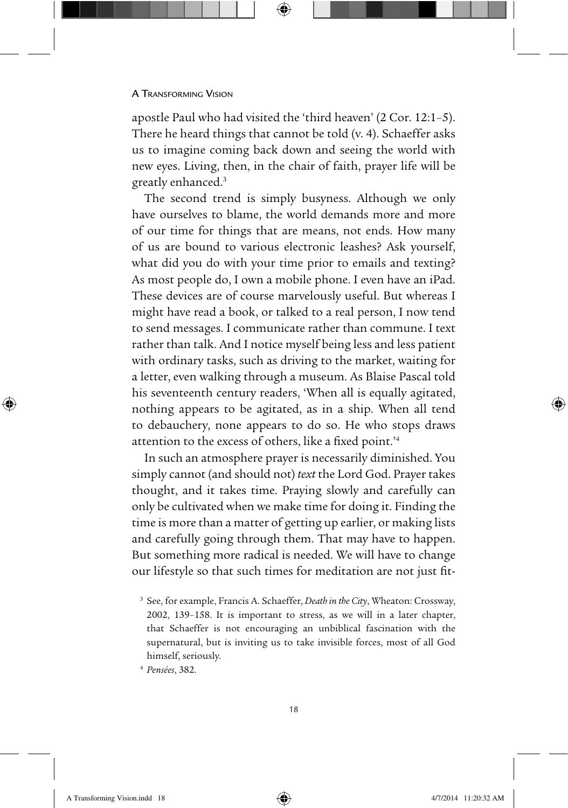apostle Paul who had visited the 'third heaven' (2 Cor. 12:1–5). There he heard things that cannot be told (v. 4). Schaeffer asks us to imagine coming back down and seeing the world with new eyes. Living, then, in the chair of faith, prayer life will be greatly enhanced.3

⊕

The second trend is simply busyness. Although we only have ourselves to blame, the world demands more and more of our time for things that are means, not ends. How many of us are bound to various electronic leashes? Ask yourself, what did you do with your time prior to emails and texting? As most people do, I own a mobile phone. I even have an iPad. These devices are of course marvelously useful. But whereas I might have read a book, or talked to a real person, I now tend to send messages. I communicate rather than commune. I text rather than talk. And I notice myself being less and less patient with ordinary tasks, such as driving to the market, waiting for a letter, even walking through a museum. As Blaise Pascal told his seventeenth century readers, 'When all is equally agitated, nothing appears to be agitated, as in a ship. When all tend to debauchery, none appears to do so. He who stops draws attention to the excess of others, like a fixed point.<sup>24</sup>

In such an atmosphere prayer is necessarily diminished. You simply cannot (and should not) *text* the Lord God. Prayer takes thought, and it takes time. Praying slowly and carefully can only be cultivated when we make time for doing it. Finding the time is more than a matter of getting up earlier, or making lists and carefully going through them. That may have to happen. But something more radical is needed. We will have to change our lifestyle so that such times for meditation are not just fit-

<sup>3</sup> See, for example, Francis A. Schaeffer, *Death in the City*, Wheaton: Crossway, 2002, 139–158. It is important to stress, as we will in a later chapter, that Schaeffer is not encouraging an unbiblical fascination with the supernatural, but is inviting us to take invisible forces, most of all God himself, seriously.

<sup>4</sup>  *Pensées*, 382.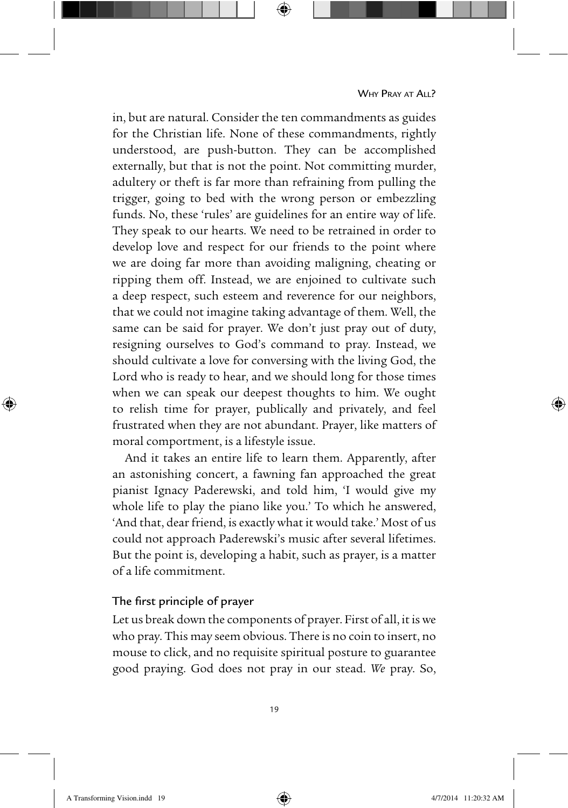in, but are natural. Consider the ten commandments as guides for the Christian life. None of these commandments, rightly understood, are push-button. They can be accomplished externally, but that is not the point. Not committing murder, adultery or theft is far more than refraining from pulling the trigger, going to bed with the wrong person or embezzling funds. No, these 'rules' are guidelines for an entire way of life. They speak to our hearts. We need to be retrained in order to develop love and respect for our friends to the point where we are doing far more than avoiding maligning, cheating or ripping them off. Instead, we are enjoined to cultivate such a deep respect, such esteem and reverence for our neighbors, that we could not imagine taking advantage of them. Well, the same can be said for prayer. We don't just pray out of duty, resigning ourselves to God's command to pray. Instead, we should cultivate a love for conversing with the living God, the Lord who is ready to hear, and we should long for those times when we can speak our deepest thoughts to him. We ought to relish time for prayer, publically and privately, and feel frustrated when they are not abundant. Prayer, like matters of moral comportment, is a lifestyle issue.

And it takes an entire life to learn them. Apparently, after an astonishing concert, a fawning fan approached the great pianist Ignacy Paderewski, and told him, 'I would give my whole life to play the piano like you.' To which he answered, 'And that, dear friend, is exactly what it would take.' Most of us could not approach Paderewski's music after several lifetimes. But the point is, developing a habit, such as prayer, is a matter of a life commitment.

# The first principle of prayer

Let us break down the components of prayer. First of all, it is we who pray. This may seem obvious. There is no coin to insert, no mouse to click, and no requisite spiritual posture to guarantee good praying. God does not pray in our stead. *We* pray. So,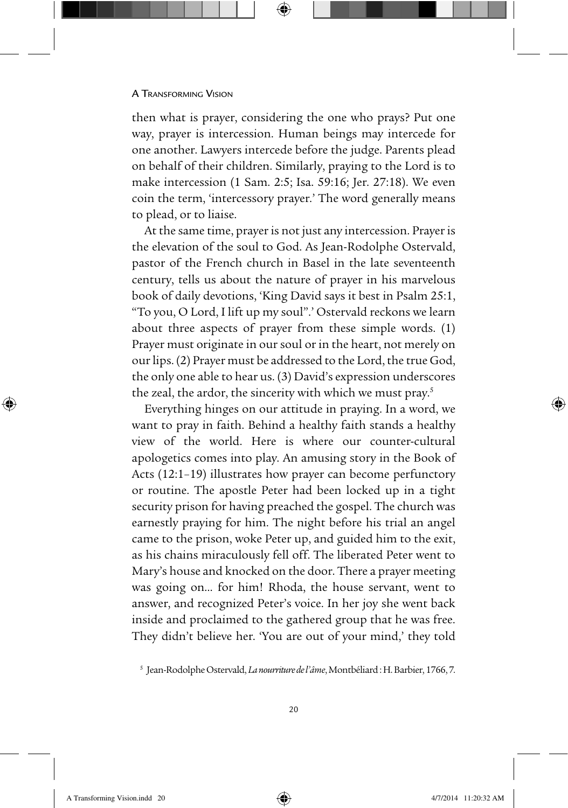then what is prayer, considering the one who prays? Put one way, prayer is intercession. Human beings may intercede for one another. Lawyers intercede before the judge. Parents plead on behalf of their children. Similarly, praying to the Lord is to make intercession (1 Sam. 2:5; Isa. 59:16; Jer. 27:18). We even coin the term, 'intercessory prayer.' The word generally means to plead, or to liaise.

At the same time, prayer is not just any intercession. Prayer is the elevation of the soul to God. As Jean-Rodolphe Ostervald, pastor of the French church in Basel in the late seventeenth century, tells us about the nature of prayer in his marvelous book of daily devotions, 'King David says it best in Psalm 25:1, "To you, O Lord, I lift up my soul".' Ostervald reckons we learn about three aspects of prayer from these simple words. (1) Prayer must originate in our soul or in the heart, not merely on our lips. (2) Prayer must be addressed to the Lord, the true God, the only one able to hear us. (3) David's expression underscores the zeal, the ardor, the sincerity with which we must pray.<sup>5</sup>

Everything hinges on our attitude in praying. In a word, we want to pray in faith. Behind a healthy faith stands a healthy view of the world. Here is where our counter-cultural apologetics comes into play. An amusing story in the Book of Acts (12:1–19) illustrates how prayer can become perfunctory or routine. The apostle Peter had been locked up in a tight security prison for having preached the gospel. The church was earnestly praying for him. The night before his trial an angel came to the prison, woke Peter up, and guided him to the exit, as his chains miraculously fell off. The liberated Peter went to Mary's house and knocked on the door. There a prayer meeting was going on… for him! Rhoda, the house servant, went to answer, and recognized Peter's voice. In her joy she went back inside and proclaimed to the gathered group that he was free. They didn't believe her. 'You are out of your mind,' they told

20

<sup>5</sup> Jean-Rodolphe Ostervald, *La nourriture de l'âme*, Montbéliard: H. Barbier, 1766, 7.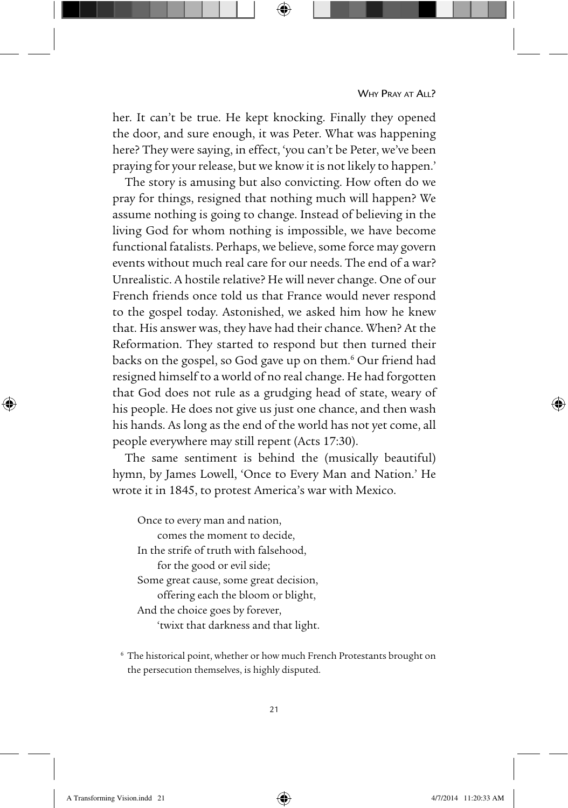her. It can't be true. He kept knocking. Finally they opened the door, and sure enough, it was Peter. What was happening here? They were saying, in effect, 'you can't be Peter, we've been praying for your release, but we know it is not likely to happen.'

The story is amusing but also convicting. How often do we pray for things, resigned that nothing much will happen? We assume nothing is going to change. Instead of believing in the living God for whom nothing is impossible, we have become functional fatalists. Perhaps, we believe, some force may govern events without much real care for our needs. The end of a war? Unrealistic. A hostile relative? He will never change. One of our French friends once told us that France would never respond to the gospel today. Astonished, we asked him how he knew that. His answer was, they have had their chance. When? At the Reformation. They started to respond but then turned their backs on the gospel, so God gave up on them.<sup>6</sup> Our friend had resigned himself to a world of no real change. He had forgotten that God does not rule as a grudging head of state, weary of his people. He does not give us just one chance, and then wash his hands. As long as the end of the world has not yet come, all people everywhere may still repent (Acts 17:30).

The same sentiment is behind the (musically beautiful) hymn, by James Lowell, 'Once to Every Man and Nation.' He wrote it in 1845, to protest America's war with Mexico.

Once to every man and nation, comes the moment to decide, In the strife of truth with falsehood, for the good or evil side; Some great cause, some great decision, offering each the bloom or blight, And the choice goes by forever, 'twixt that darkness and that light.

6 The historical point, whether or how much French Protestants brought on the persecution themselves, is highly disputed.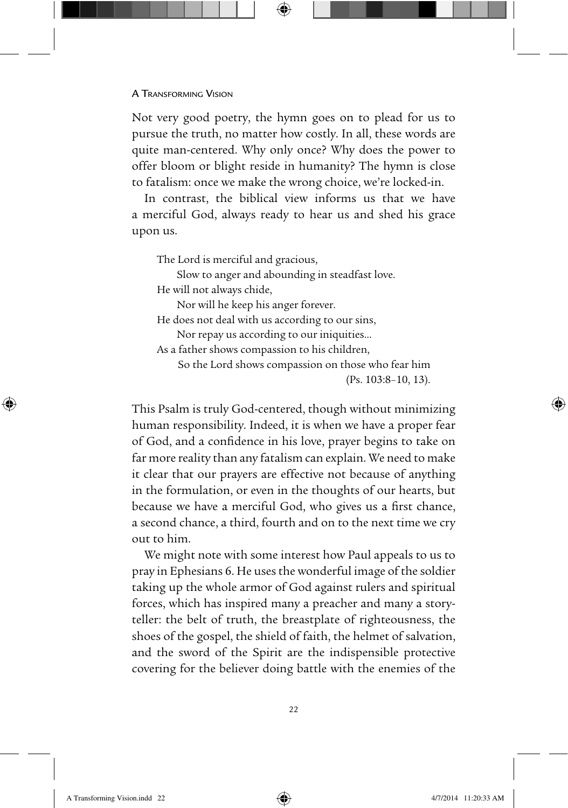Not very good poetry, the hymn goes on to plead for us to pursue the truth, no matter how costly. In all, these words are quite man-centered. Why only once? Why does the power to offer bloom or blight reside in humanity? The hymn is close to fatalism: once we make the wrong choice, we're locked-in.

In contrast, the biblical view informs us that we have a merciful God, always ready to hear us and shed his grace upon us.

The Lord is merciful and gracious,

 Slow to anger and abounding in steadfast love. He will not always chide,

Nor will he keep his anger forever.

He does not deal with us according to our sins, Nor repay us according to our iniquities…

As a father shows compassion to his children,

 So the Lord shows compassion on those who fear him (Ps. 103:8–10, 13).

This Psalm is truly God-centered, though without minimizing human responsibility. Indeed, it is when we have a proper fear of God, and a confidence in his love, prayer begins to take on far more reality than any fatalism can explain. We need to make it clear that our prayers are effective not because of anything in the formulation, or even in the thoughts of our hearts, but because we have a merciful God, who gives us a first chance, a second chance, a third, fourth and on to the next time we cry out to him.

We might note with some interest how Paul appeals to us to pray in Ephesians 6. He uses the wonderful image of the soldier taking up the whole armor of God against rulers and spiritual forces, which has inspired many a preacher and many a storyteller: the belt of truth, the breastplate of righteousness, the shoes of the gospel, the shield of faith, the helmet of salvation, and the sword of the Spirit are the indispensible protective covering for the believer doing battle with the enemies of the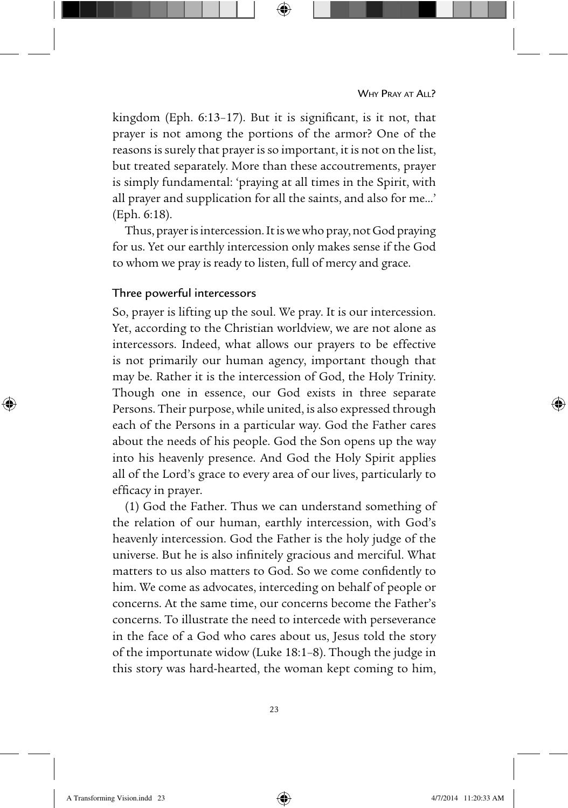kingdom (Eph. 6:13-17). But it is significant, is it not, that prayer is not among the portions of the armor? One of the reasons is surely that prayer is so important, it is not on the list, but treated separately. More than these accoutrements, prayer is simply fundamental: 'praying at all times in the Spirit, with all prayer and supplication for all the saints, and also for me…' (Eph. 6:18).

Thus, prayer is intercession. It is we who pray, not God praying for us. Yet our earthly intercession only makes sense if the God to whom we pray is ready to listen, full of mercy and grace.

# Three powerful intercessors

So, prayer is lifting up the soul. We pray. It is our intercession. Yet, according to the Christian worldview, we are not alone as intercessors. Indeed, what allows our prayers to be effective is not primarily our human agency, important though that may be. Rather it is the intercession of God, the Holy Trinity. Though one in essence, our God exists in three separate Persons. Their purpose, while united, is also expressed through each of the Persons in a particular way. God the Father cares about the needs of his people. God the Son opens up the way into his heavenly presence. And God the Holy Spirit applies all of the Lord's grace to every area of our lives, particularly to efficacy in prayer.

(1) God the Father. Thus we can understand something of the relation of our human, earthly intercession, with God's heavenly intercession. God the Father is the holy judge of the universe. But he is also infinitely gracious and merciful. What matters to us also matters to God. So we come confidently to him. We come as advocates, interceding on behalf of people or concerns. At the same time, our concerns become the Father's concerns. To illustrate the need to intercede with perseverance in the face of a God who cares about us, Jesus told the story of the importunate widow (Luke 18:1–8). Though the judge in this story was hard-hearted, the woman kept coming to him,

23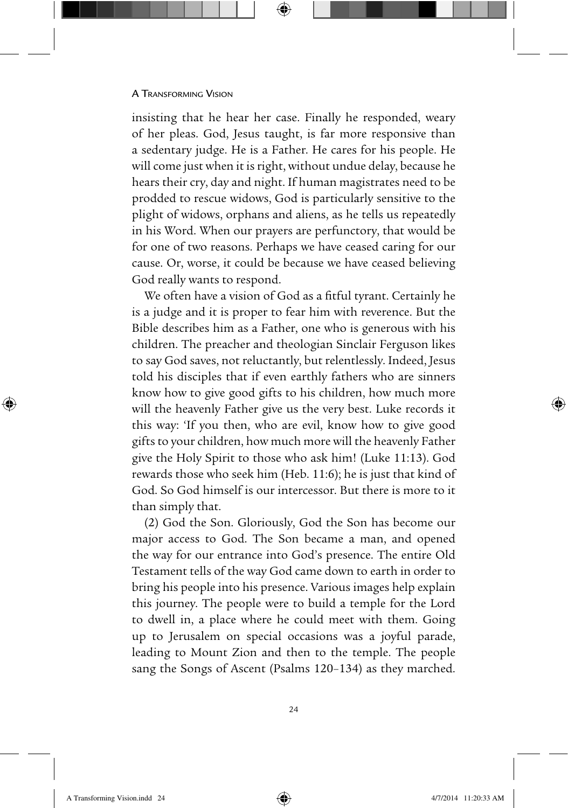insisting that he hear her case. Finally he responded, weary of her pleas. God, Jesus taught, is far more responsive than a sedentary judge. He is a Father. He cares for his people. He will come just when it is right, without undue delay, because he hears their cry, day and night. If human magistrates need to be prodded to rescue widows, God is particularly sensitive to the plight of widows, orphans and aliens, as he tells us repeatedly in his Word. When our prayers are perfunctory, that would be for one of two reasons. Perhaps we have ceased caring for our cause. Or, worse, it could be because we have ceased believing God really wants to respond.

⊕

We often have a vision of God as a fitful tyrant. Certainly he is a judge and it is proper to fear him with reverence. But the Bible describes him as a Father, one who is generous with his children. The preacher and theologian Sinclair Ferguson likes to say God saves, not reluctantly, but relentlessly. Indeed, Jesus told his disciples that if even earthly fathers who are sinners know how to give good gifts to his children, how much more will the heavenly Father give us the very best. Luke records it this way: 'If you then, who are evil, know how to give good gifts to your children, how much more will the heavenly Father give the Holy Spirit to those who ask him! (Luke 11:13). God rewards those who seek him (Heb. 11:6); he is just that kind of God. So God himself is our intercessor. But there is more to it than simply that.

(2) God the Son. Gloriously, God the Son has become our major access to God. The Son became a man, and opened the way for our entrance into God's presence. The entire Old Testament tells of the way God came down to earth in order to bring his people into his presence. Various images help explain this journey. The people were to build a temple for the Lord to dwell in, a place where he could meet with them. Going up to Jerusalem on special occasions was a joyful parade, leading to Mount Zion and then to the temple. The people sang the Songs of Ascent (Psalms 120–134) as they marched.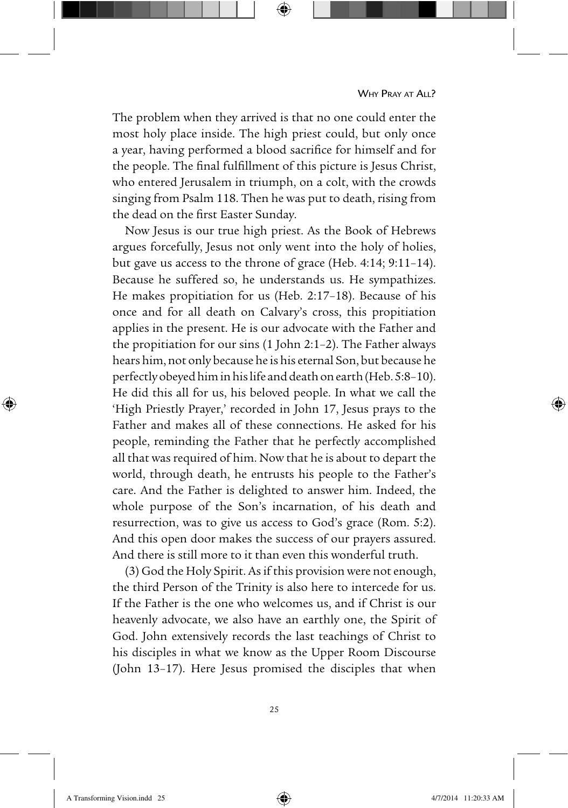The problem when they arrived is that no one could enter the most holy place inside. The high priest could, but only once a year, having performed a blood sacrifice for himself and for the people. The final fulfillment of this picture is Jesus Christ, who entered Jerusalem in triumph, on a colt, with the crowds singing from Psalm 118. Then he was put to death, rising from the dead on the first Easter Sunday.

Now Jesus is our true high priest. As the Book of Hebrews argues forcefully, Jesus not only went into the holy of holies, but gave us access to the throne of grace (Heb. 4:14; 9:11–14). Because he suffered so, he understands us. He sympathizes. He makes propitiation for us (Heb. 2:17–18). Because of his once and for all death on Calvary's cross, this propitiation applies in the present. He is our advocate with the Father and the propitiation for our sins (1 John 2:1–2). The Father always hears him, not only because he is his eternal Son, but because he perfectly obeyed him in his life and death on earth (Heb. 5:8–10). He did this all for us, his beloved people. In what we call the 'High Priestly Prayer,' recorded in John 17, Jesus prays to the Father and makes all of these connections. He asked for his people, reminding the Father that he perfectly accomplished all that was required of him. Now that he is about to depart the world, through death, he entrusts his people to the Father's care. And the Father is delighted to answer him. Indeed, the whole purpose of the Son's incarnation, of his death and resurrection, was to give us access to God's grace (Rom. 5:2). And this open door makes the success of our prayers assured. And there is still more to it than even this wonderful truth.

(3) God the Holy Spirit. As if this provision were not enough, the third Person of the Trinity is also here to intercede for us. If the Father is the one who welcomes us, and if Christ is our heavenly advocate, we also have an earthly one, the Spirit of God. John extensively records the last teachings of Christ to his disciples in what we know as the Upper Room Discourse (John 13–17). Here Jesus promised the disciples that when

25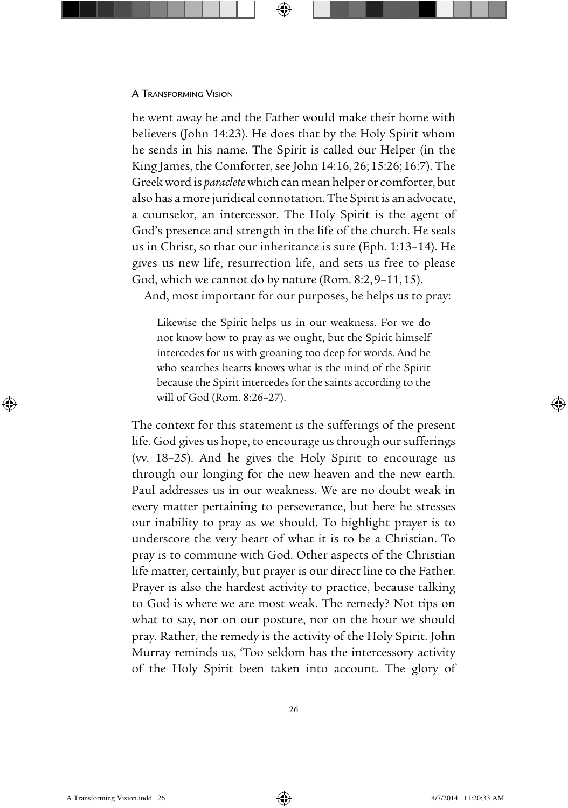he went away he and the Father would make their home with believers (John 14:23). He does that by the Holy Spirit whom he sends in his name. The Spirit is called our Helper (in the King James, the Comforter, see John 14:16, 26; 15:26; 16:7). The Greek word is *paraclete* which can mean helper or comforter, but also has a more juridical connotation. The Spirit is an advocate, a counselor, an intercessor. The Holy Spirit is the agent of God's presence and strength in the life of the church. He seals us in Christ, so that our inheritance is sure (Eph. 1:13–14). He gives us new life, resurrection life, and sets us free to please God, which we cannot do by nature (Rom. 8:2, 9–11, 15).

And, most important for our purposes, he helps us to pray:

Likewise the Spirit helps us in our weakness. For we do not know how to pray as we ought, but the Spirit himself intercedes for us with groaning too deep for words. And he who searches hearts knows what is the mind of the Spirit because the Spirit intercedes for the saints according to the will of God (Rom. 8:26–27).

The context for this statement is the sufferings of the present life. God gives us hope, to encourage us through our sufferings (vv. 18–25). And he gives the Holy Spirit to encourage us through our longing for the new heaven and the new earth. Paul addresses us in our weakness. We are no doubt weak in every matter pertaining to perseverance, but here he stresses our inability to pray as we should. To highlight prayer is to underscore the very heart of what it is to be a Christian. To pray is to commune with God. Other aspects of the Christian life matter, certainly, but prayer is our direct line to the Father. Prayer is also the hardest activity to practice, because talking to God is where we are most weak. The remedy? Not tips on what to say, nor on our posture, nor on the hour we should pray. Rather, the remedy is the activity of the Holy Spirit. John Murray reminds us, 'Too seldom has the intercessory activity of the Holy Spirit been taken into account. The glory of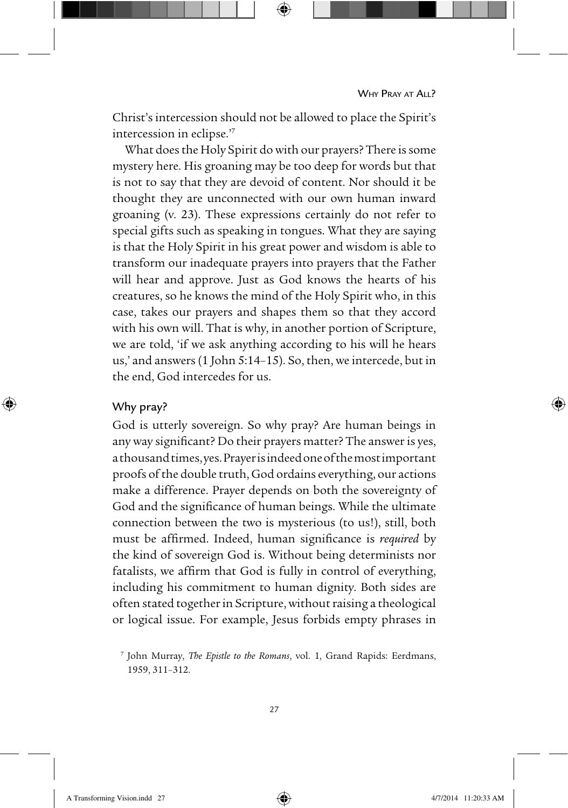Christ's intercession should not be allowed to place the Spirit's intercession in eclipse.'7

What does the Holy Spirit do with our prayers? There is some mystery here. His groaning may be too deep for words but that is not to say that they are devoid of content. Nor should it be thought they are unconnected with our own human inward groaning (v. 23). These expressions certainly do not refer to special gifts such as speaking in tongues. What they are saying is that the Holy Spirit in his great power and wisdom is able to transform our inadequate prayers into prayers that the Father will hear and approve. Just as God knows the hearts of his creatures, so he knows the mind of the Holy Spirit who, in this case, takes our prayers and shapes them so that they accord with his own will. That is why, in another portion of Scripture, we are told, 'if we ask anything according to his will he hears us,' and answers (1 John 5:14–15). So, then, we intercede, but in the end, God intercedes for us.

# Why pray?

⊕

God is utterly sovereign. So why pray? Are human beings in any way significant? Do their prayers matter? The answer is yes, a thousand times, yes. Prayer is indeed one of the most important proofs of the double truth, God ordains everything, our actions make a difference. Prayer depends on both the sovereignty of God and the significance of human beings. While the ultimate connection between the two is mysterious (to us!), still, both must be affirmed. Indeed, human significance is *required* by the kind of sovereign God is. Without being determinists nor fatalists, we affirm that God is fully in control of everything, including his commitment to human dignity. Both sides are often stated together in Scripture, without raising a theological or logical issue. For example, Jesus forbids empty phrases in

<sup>7</sup> John Murray, *The Epistle to the Romans*, vol. 1, Grand Rapids: Eerdmans, 1959, 311–312.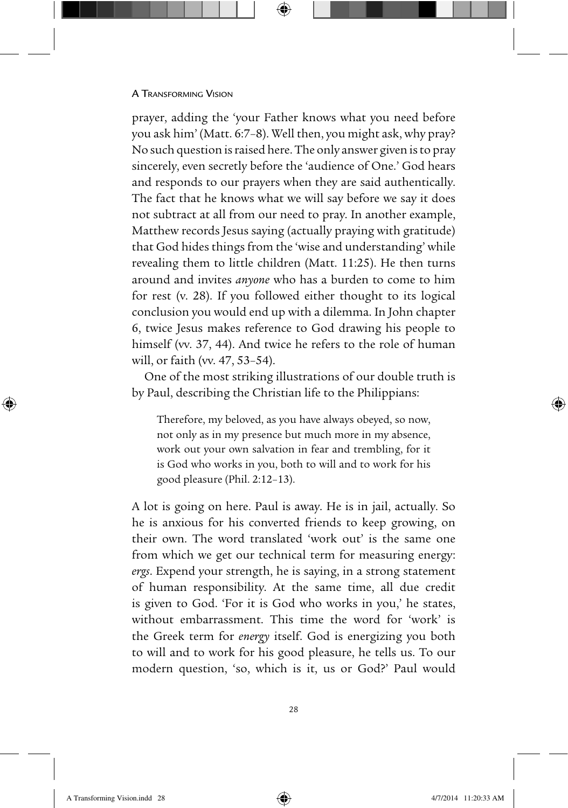prayer, adding the 'your Father knows what you need before you ask him' (Matt. 6:7–8). Well then, you might ask, why pray? No such question is raised here. The only answer given is to pray sincerely, even secretly before the 'audience of One.' God hears and responds to our prayers when they are said authentically. The fact that he knows what we will say before we say it does not subtract at all from our need to pray. In another example, Matthew records Jesus saying (actually praying with gratitude) that God hides things from the 'wise and understanding' while revealing them to little children (Matt. 11:25). He then turns around and invites *anyone* who has a burden to come to him for rest (v. 28). If you followed either thought to its logical conclusion you would end up with a dilemma. In John chapter 6, twice Jesus makes reference to God drawing his people to himself (vv. 37, 44). And twice he refers to the role of human will, or faith (vv. 47, 53–54).

One of the most striking illustrations of our double truth is by Paul, describing the Christian life to the Philippians:

Therefore, my beloved, as you have always obeyed, so now, not only as in my presence but much more in my absence, work out your own salvation in fear and trembling, for it is God who works in you, both to will and to work for his good pleasure (Phil. 2:12–13).

A lot is going on here. Paul is away. He is in jail, actually. So he is anxious for his converted friends to keep growing, on their own. The word translated 'work out' is the same one from which we get our technical term for measuring energy: *ergs*. Expend your strength, he is saying, in a strong statement of human responsibility. At the same time, all due credit is given to God. 'For it is God who works in you,' he states, without embarrassment. This time the word for 'work' is the Greek term for *energy* itself. God is energizing you both to will and to work for his good pleasure, he tells us. To our modern question, 'so, which is it, us or God?' Paul would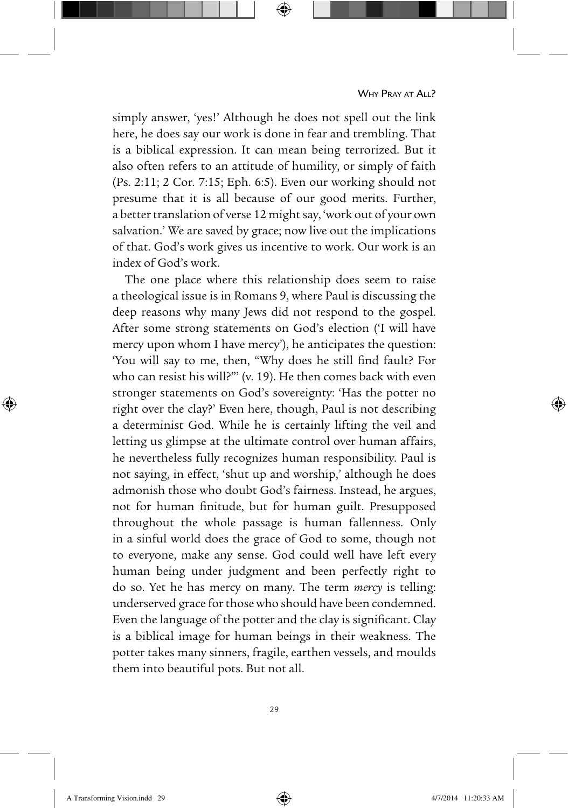simply answer, 'yes!' Although he does not spell out the link here, he does say our work is done in fear and trembling. That is a biblical expression. It can mean being terrorized. But it also often refers to an attitude of humility, or simply of faith (Ps. 2:11; 2 Cor. 7:15; Eph. 6:5). Even our working should not presume that it is all because of our good merits. Further, a better translation of verse 12 might say, 'work out of your own salvation.' We are saved by grace; now live out the implications of that. God's work gives us incentive to work. Our work is an index of God's work.

⊕

The one place where this relationship does seem to raise a theological issue is in Romans 9, where Paul is discussing the deep reasons why many Jews did not respond to the gospel. After some strong statements on God's election ('I will have mercy upon whom I have mercy'), he anticipates the question: 'You will say to me, then, "Why does he still find fault? For who can resist his will?"' (v. 19). He then comes back with even stronger statements on God's sovereignty: 'Has the potter no right over the clay?' Even here, though, Paul is not describing a determinist God. While he is certainly lifting the veil and letting us glimpse at the ultimate control over human affairs, he nevertheless fully recognizes human responsibility. Paul is not saying, in effect, 'shut up and worship,' although he does admonish those who doubt God's fairness. Instead, he argues, not for human finitude, but for human guilt. Presupposed throughout the whole passage is human fallenness. Only in a sinful world does the grace of God to some, though not to everyone, make any sense. God could well have left every human being under judgment and been perfectly right to do so. Yet he has mercy on many. The term *mercy* is telling: underserved grace for those who should have been condemned. Even the language of the potter and the clay is significant. Clay is a biblical image for human beings in their weakness. The potter takes many sinners, fragile, earthen vessels, and moulds them into beautiful pots. But not all.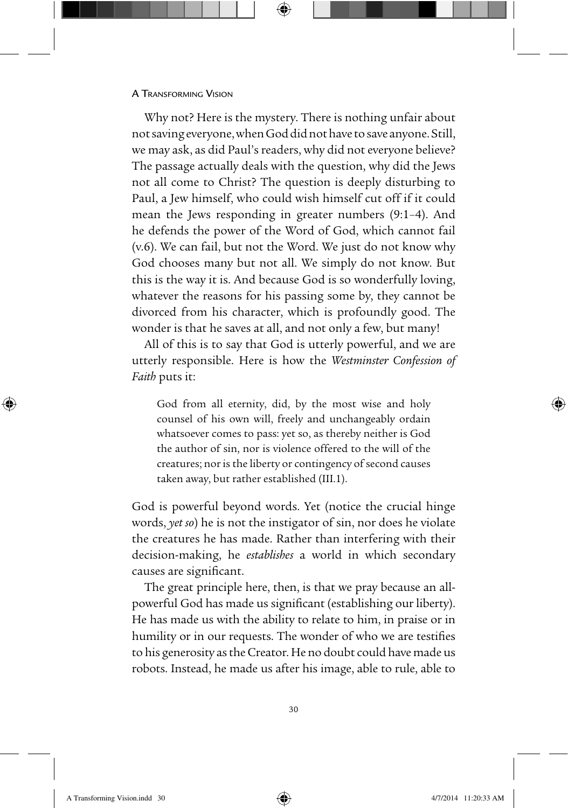Why not? Here is the mystery. There is nothing unfair about not saving everyone, when God did not have to save anyone. Still, we may ask, as did Paul's readers, why did not everyone believe? The passage actually deals with the question, why did the Jews not all come to Christ? The question is deeply disturbing to Paul, a Jew himself, who could wish himself cut off if it could mean the Jews responding in greater numbers (9:1–4). And he defends the power of the Word of God, which cannot fail (v.6). We can fail, but not the Word. We just do not know why God chooses many but not all. We simply do not know. But this is the way it is. And because God is so wonderfully loving, whatever the reasons for his passing some by, they cannot be divorced from his character, which is profoundly good. The wonder is that he saves at all, and not only a few, but many!

⊕

All of this is to say that God is utterly powerful, and we are utterly responsible. Here is how the *Westminster Confession of Faith* puts it:

God from all eternity, did, by the most wise and holy counsel of his own will, freely and unchangeably ordain whatsoever comes to pass: yet so, as thereby neither is God the author of sin, nor is violence offered to the will of the creatures; nor is the liberty or contingency of second causes taken away, but rather established (III.1).

God is powerful beyond words. Yet (notice the crucial hinge words, *yet so*) he is not the instigator of sin, nor does he violate the creatures he has made. Rather than interfering with their decision-making, he *establishes* a world in which secondary causes are significant.

The great principle here, then, is that we pray because an allpowerful God has made us significant (establishing our liberty). He has made us with the ability to relate to him, in praise or in humility or in our requests. The wonder of who we are testifies to his generosity as the Creator. He no doubt could have made us robots. Instead, he made us after his image, able to rule, able to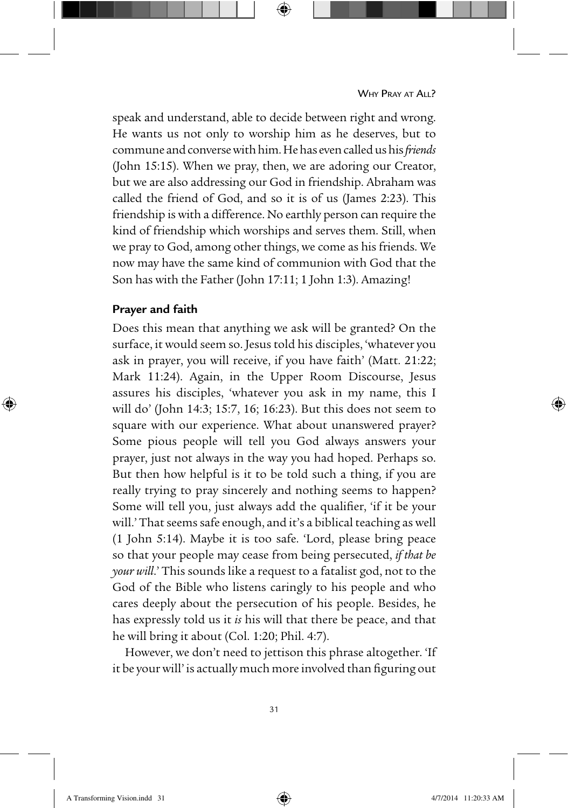speak and understand, able to decide between right and wrong. He wants us not only to worship him as he deserves, but to commune and converse with him. He has even called us his *friends* (John 15:15). When we pray, then, we are adoring our Creator, but we are also addressing our God in friendship. Abraham was called the friend of God, and so it is of us (James 2:23). This friendship is with a difference. No earthly person can require the kind of friendship which worships and serves them. Still, when we pray to God, among other things, we come as his friends. We now may have the same kind of communion with God that the Son has with the Father (John 17:11; 1 John 1:3). Amazing!

⊕

# **Prayer and faith**

⊕

Does this mean that anything we ask will be granted? On the surface, it would seem so. Jesus told his disciples, 'whatever you ask in prayer, you will receive, if you have faith' (Matt. 21:22; Mark 11:24). Again, in the Upper Room Discourse, Jesus assures his disciples, 'whatever you ask in my name, this I will do' (John 14:3; 15:7, 16; 16:23). But this does not seem to square with our experience. What about unanswered prayer? Some pious people will tell you God always answers your prayer, just not always in the way you had hoped. Perhaps so. But then how helpful is it to be told such a thing, if you are really trying to pray sincerely and nothing seems to happen? Some will tell you, just always add the qualifier, 'if it be your will.' That seems safe enough, and it's a biblical teaching as well (1 John 5:14). Maybe it is too safe. 'Lord, please bring peace so that your people may cease from being persecuted, *if that be your will*.' This sounds like a request to a fatalist god, not to the God of the Bible who listens caringly to his people and who cares deeply about the persecution of his people. Besides, he has expressly told us it *is* his will that there be peace, and that he will bring it about (Col. 1:20; Phil. 4:7).

However, we don't need to jettison this phrase altogether. 'If it be your will' is actually much more involved than figuring out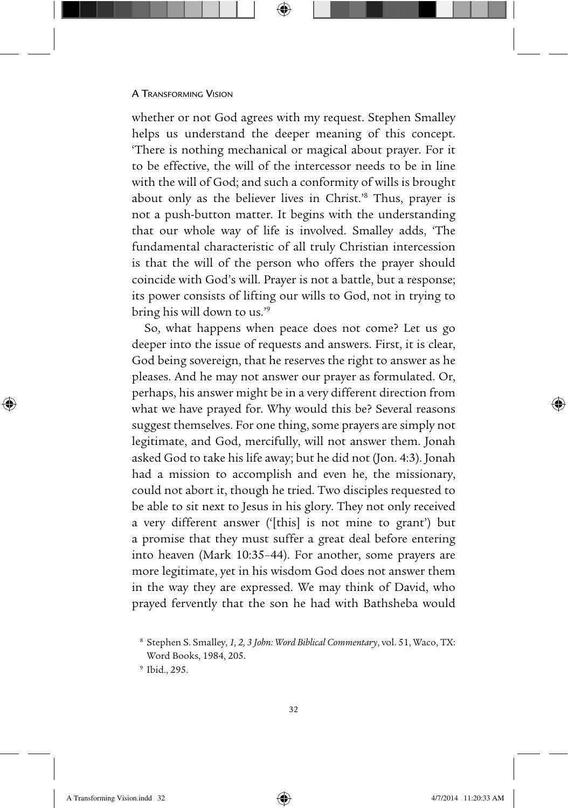whether or not God agrees with my request. Stephen Smalley helps us understand the deeper meaning of this concept. 'There is nothing mechanical or magical about prayer. For it to be effective, the will of the intercessor needs to be in line with the will of God; and such a conformity of wills is brought about only as the believer lives in Christ.'8 Thus, prayer is not a push-button matter. It begins with the understanding that our whole way of life is involved. Smalley adds, 'The fundamental characteristic of all truly Christian intercession is that the will of the person who offers the prayer should coincide with God's will. Prayer is not a battle, but a response; its power consists of lifting our wills to God, not in trying to bring his will down to us.'9

So, what happens when peace does not come? Let us go deeper into the issue of requests and answers. First, it is clear, God being sovereign, that he reserves the right to answer as he pleases. And he may not answer our prayer as formulated. Or, perhaps, his answer might be in a very different direction from what we have prayed for. Why would this be? Several reasons suggest themselves. For one thing, some prayers are simply not legitimate, and God, mercifully, will not answer them. Jonah asked God to take his life away; but he did not (Jon. 4:3). Jonah had a mission to accomplish and even he, the missionary, could not abort it, though he tried. Two disciples requested to be able to sit next to Jesus in his glory. They not only received a very different answer ('[this] is not mine to grant') but a promise that they must suffer a great deal before entering into heaven (Mark 10:35–44). For another, some prayers are more legitimate, yet in his wisdom God does not answer them in the way they are expressed. We may think of David, who prayed fervently that the son he had with Bathsheba would

<sup>8</sup> Stephen S. Smalley, *1, 2, 3 John: Word Biblical Commentary*, vol. 51, Waco, TX: Word Books, 1984, 205.

 <sup>9</sup> Ibid., 295.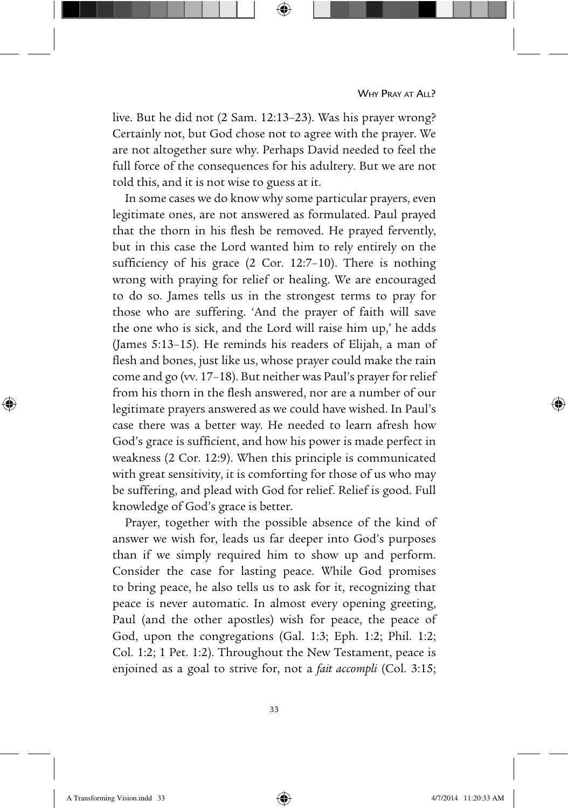live. But he did not (2 Sam. 12:13–23). Was his prayer wrong? Certainly not, but God chose not to agree with the prayer. We are not altogether sure why. Perhaps David needed to feel the full force of the consequences for his adultery. But we are not told this, and it is not wise to guess at it.

⊕

In some cases we do know why some particular prayers, even legitimate ones, are not answered as formulated. Paul prayed that the thorn in his flesh be removed. He prayed fervently, but in this case the Lord wanted him to rely entirely on the sufficiency of his grace  $(2 \text{ Cor. } 12:7-10)$ . There is nothing wrong with praying for relief or healing. We are encouraged to do so. James tells us in the strongest terms to pray for those who are suffering. 'And the prayer of faith will save the one who is sick, and the Lord will raise him up,' he adds (James 5:13–15). He reminds his readers of Elijah, a man of flesh and bones, just like us, whose prayer could make the rain come and go (vv. 17–18). But neither was Paul's prayer for relief from his thorn in the flesh answered, nor are a number of our legitimate prayers answered as we could have wished. In Paul's case there was a better way. He needed to learn afresh how God's grace is sufficient, and how his power is made perfect in weakness (2 Cor. 12:9). When this principle is communicated with great sensitivity, it is comforting for those of us who may be suffering, and plead with God for relief. Relief is good. Full knowledge of God's grace is better.

Prayer, together with the possible absence of the kind of answer we wish for, leads us far deeper into God's purposes than if we simply required him to show up and perform. Consider the case for lasting peace. While God promises to bring peace, he also tells us to ask for it, recognizing that peace is never automatic. In almost every opening greeting, Paul (and the other apostles) wish for peace, the peace of God, upon the congregations (Gal. 1:3; Eph. 1:2; Phil. 1:2; Col. 1:2; 1 Pet. 1:2). Throughout the New Testament, peace is enjoined as a goal to strive for, not a *fait accompli* (Col. 3:15;

33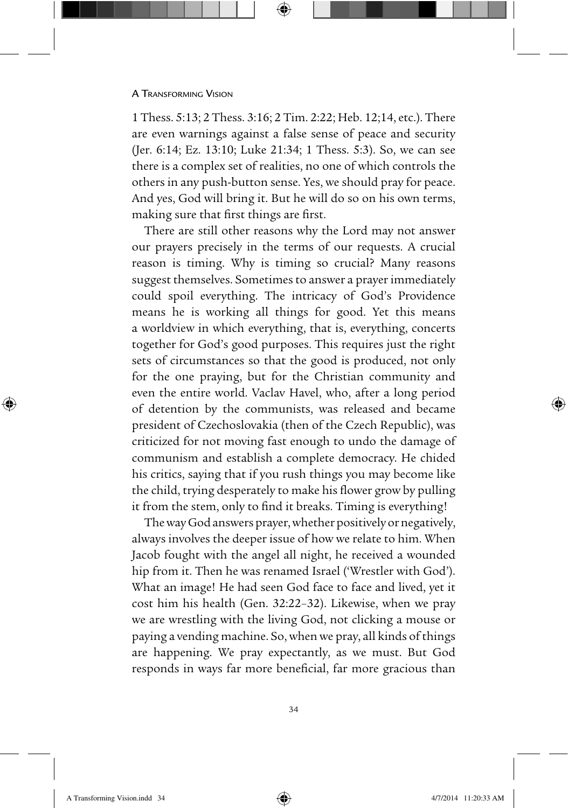1 Thess. 5:13; 2 Thess. 3:16; 2 Tim. 2:22; Heb. 12;14, etc.). There are even warnings against a false sense of peace and security (Jer. 6:14; Ez. 13:10; Luke 21:34; 1 Thess. 5:3). So, we can see there is a complex set of realities, no one of which controls the others in any push-button sense. Yes, we should pray for peace. And yes, God will bring it. But he will do so on his own terms, making sure that first things are first.

⊕

There are still other reasons why the Lord may not answer our prayers precisely in the terms of our requests. A crucial reason is timing. Why is timing so crucial? Many reasons suggest themselves. Sometimes to answer a prayer immediately could spoil everything. The intricacy of God's Providence means he is working all things for good. Yet this means a worldview in which everything, that is, everything, concerts together for God's good purposes. This requires just the right sets of circumstances so that the good is produced, not only for the one praying, but for the Christian community and even the entire world. Vaclav Havel, who, after a long period of detention by the communists, was released and became president of Czechoslovakia (then of the Czech Republic), was criticized for not moving fast enough to undo the damage of communism and establish a complete democracy. He chided his critics, saying that if you rush things you may become like the child, trying desperately to make his flower grow by pulling it from the stem, only to find it breaks. Timing is everything!

The way God answers prayer, whether positively or negatively, always involves the deeper issue of how we relate to him. When Jacob fought with the angel all night, he received a wounded hip from it. Then he was renamed Israel ('Wrestler with God'). What an image! He had seen God face to face and lived, yet it cost him his health (Gen. 32:22–32). Likewise, when we pray we are wrestling with the living God, not clicking a mouse or paying a vending machine. So, when we pray, all kinds of things are happening. We pray expectantly, as we must. But God responds in ways far more beneficial, far more gracious than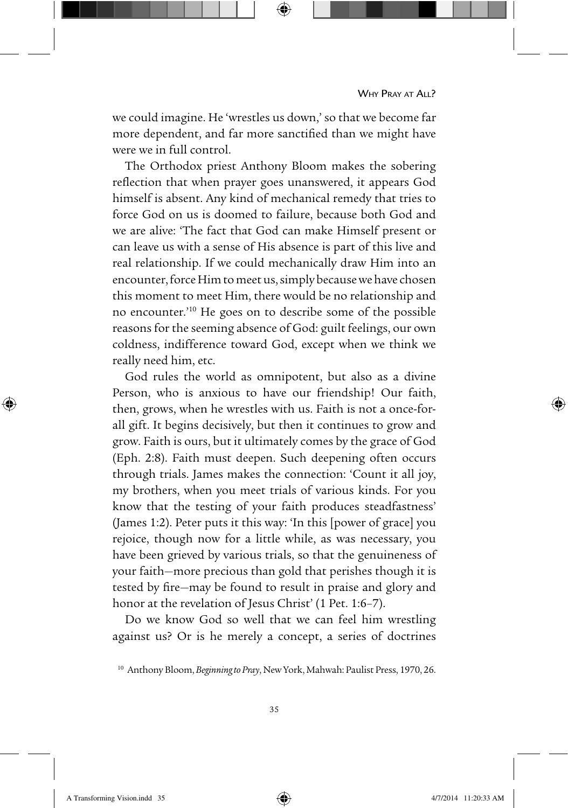we could imagine. He 'wrestles us down,' so that we become far more dependent, and far more sanctified than we might have were we in full control.

The Orthodox priest Anthony Bloom makes the sobering reflection that when prayer goes unanswered, it appears God himself is absent. Any kind of mechanical remedy that tries to force God on us is doomed to failure, because both God and we are alive: 'The fact that God can make Himself present or can leave us with a sense of His absence is part of this live and real relationship. If we could mechanically draw Him into an encounter, force Him to meet us, simply because we have chosen this moment to meet Him, there would be no relationship and no encounter.'10 He goes on to describe some of the possible reasons for the seeming absence of God: guilt feelings, our own coldness, indifference toward God, except when we think we really need him, etc.

God rules the world as omnipotent, but also as a divine Person, who is anxious to have our friendship! Our faith, then, grows, when he wrestles with us. Faith is not a once-forall gift. It begins decisively, but then it continues to grow and grow. Faith is ours, but it ultimately comes by the grace of God (Eph. 2:8). Faith must deepen. Such deepening often occurs through trials. James makes the connection: 'Count it all joy, my brothers, when you meet trials of various kinds. For you know that the testing of your faith produces steadfastness' (James 1:2). Peter puts it this way: 'In this [power of grace] you rejoice, though now for a little while, as was necessary, you have been grieved by various trials, so that the genuineness of your faith—more precious than gold that perishes though it is tested by fire—may be found to result in praise and glory and honor at the revelation of Jesus Christ' (1 Pet. 1:6-7).

Do we know God so well that we can feel him wrestling against us? Or is he merely a concept, a series of doctrines

<sup>10</sup> Anthony Bloom, *Beginning to Pray*, New York, Mahwah: Paulist Press, 1970, 26.